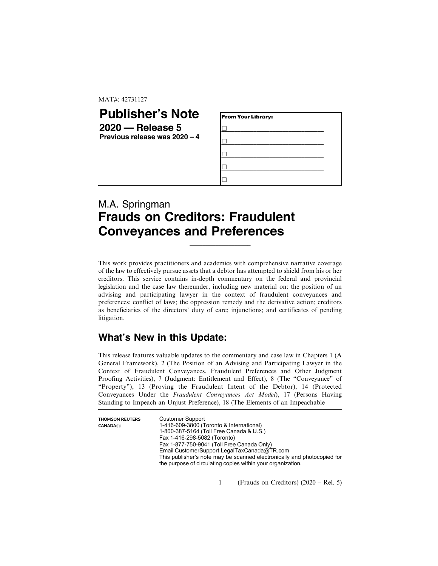MAT#: 42731127

## **Publisher's Note 2020 — Release 5 Previous release was 2020 – 4**

| From Your Library: |  |
|--------------------|--|
|                    |  |
|                    |  |
|                    |  |
|                    |  |
|                    |  |

## M.A. Springman **Frauds on Creditors: Fraudulent Conveyances and Preferences**

This work provides practitioners and academics with comprehensive narrative coverage of the law to effectively pursue assets that a debtor has attempted to shield from his or her creditors. This service contains in-depth commentary on the federal and provincial legislation and the case law thereunder, including new material on: the position of an advising and participating lawyer in the context of fraudulent conveyances and preferences; conflict of laws; the oppression remedy and the derivative action; creditors as beneficiaries of the directors' duty of care; injunctions; and certificates of pending litigation.

 $\_$ 

## **What's New in this Update:**

This release features valuable updates to the commentary and case law in Chapters 1 (A General Framework), 2 (The Position of an Advising and Participating Lawyer in the Context of Fraudulent Conveyances, Fraudulent Preferences and Other Judgment Proofing Activities), 7 (Judgment: Entitlement and Effect), 8 (The "Conveyance" of "Property"), 13 (Proving the Fraudulent Intent of the Debtor), 14 (Protected Conveyances Under the Fraudulent Conveyances Act Model), 17 (Persons Having Standing to Impeach an Unjust Preference), 18 (The Elements of an Impeachable

| <b>THOMSON REUTERS</b><br><b>CANADA</b> <sup>(R)</sup> | <b>Customer Support</b><br>1-416-609-3800 (Toronto & International)<br>1-800-387-5164 (Toll Free Canada & U.S.)<br>Fax 1-416-298-5082 (Toronto)<br>Fax 1-877-750-9041 (Toll Free Canada Only)<br>Email CustomerSupport.LegalTaxCanada@TR.com<br>This publisher's note may be scanned electronically and photocopied for<br>the purpose of circulating copies within your organization. |
|--------------------------------------------------------|----------------------------------------------------------------------------------------------------------------------------------------------------------------------------------------------------------------------------------------------------------------------------------------------------------------------------------------------------------------------------------------|
|                                                        |                                                                                                                                                                                                                                                                                                                                                                                        |

1 (Frauds on Creditors) (2020 – Rel. 5)